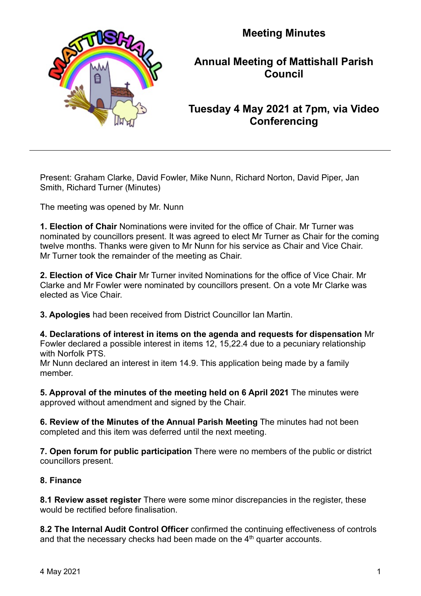

**Meeting Minutes**

# **Annual Meeting of Mattishall Parish Council**

# **Tuesday 4 May 2021 at 7pm, via Video Conferencing**

Present: Graham Clarke, David Fowler, Mike Nunn, Richard Norton, David Piper, Jan Smith, Richard Turner (Minutes)

The meeting was opened by Mr. Nunn

**1. Election of Chair** Nominations were invited for the office of Chair. Mr Turner was nominated by councillors present. It was agreed to elect Mr Turner as Chair for the coming twelve months. Thanks were given to Mr Nunn for his service as Chair and Vice Chair. Mr Turner took the remainder of the meeting as Chair.

**2. Election of Vice Chair** Mr Turner invited Nominations for the office of Vice Chair. Mr Clarke and Mr Fowler were nominated by councillors present. On a vote Mr Clarke was elected as Vice Chair.

**3. Apologies** had been received from District Councillor Ian Martin.

**4. Declarations of interest in items on the agenda and requests for dispensation** Mr Fowler declared a possible interest in items 12, 15,22.4 due to a pecuniary relationship with Norfolk PTS.

Mr Nunn declared an interest in item 14.9. This application being made by a family member.

**5. Approval of the minutes of the meeting held on 6 April 2021** The minutes were approved without amendment and signed by the Chair.

**6. Review of the Minutes of the Annual Parish Meeting** The minutes had not been completed and this item was deferred until the next meeting.

**7. Open forum for public participation** There were no members of the public or district councillors present.

## **8. Finance**

**8.1 Review asset register** There were some minor discrepancies in the register, these would be rectified before finalisation.

**8.2 The Internal Audit Control Officer** confirmed the continuing effectiveness of controls and that the necessary checks had been made on the  $4<sup>th</sup>$  quarter accounts.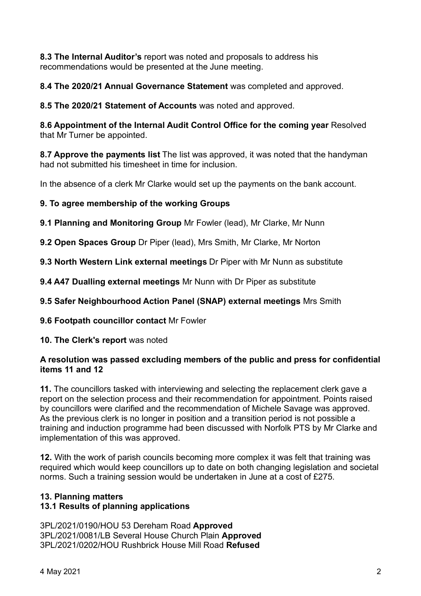**8.3 The Internal Auditor's** report was noted and proposals to address his recommendations would be presented at the June meeting.

**8.4 The 2020/21 Annual Governance Statement** was completed and approved.

**8.5 The 2020/21 Statement of Accounts** was noted and approved.

**8.6 Appointment of the Internal Audit Control Office for the coming year** Resolved that Mr Turner be appointed.

**8.7 Approve the payments list** The list was approved, it was noted that the handyman had not submitted his timesheet in time for inclusion.

In the absence of a clerk Mr Clarke would set up the payments on the bank account.

**9. To agree membership of the working Groups**

**9.1 Planning and Monitoring Group** Mr Fowler (lead), Mr Clarke, Mr Nunn

**9.2 Open Spaces Group** Dr Piper (lead), Mrs Smith, Mr Clarke, Mr Norton

**9.3 North Western Link external meetings** Dr Piper with Mr Nunn as substitute

**9.4 A47 Dualling external meetings** Mr Nunn with Dr Piper as substitute

**9.5 Safer Neighbourhood Action Panel (SNAP) external meetings** Mrs Smith

**9.6 Footpath councillor contact** Mr Fowler

**10. The Clerk's report** was noted

## **A resolution was passed excluding members of the public and press for confidential items 11 and 12**

**11.** The councillors tasked with interviewing and selecting the replacement clerk gave a report on the selection process and their recommendation for appointment. Points raised by councillors were clarified and the recommendation of Michele Savage was approved. As the previous clerk is no longer in position and a transition period is not possible a training and induction programme had been discussed with Norfolk PTS by Mr Clarke and implementation of this was approved.

**12.** With the work of parish councils becoming more complex it was felt that training was required which would keep councillors up to date on both changing legislation and societal norms. Such a training session would be undertaken in June at a cost of £275.

# **13. Planning matters**

# **13.1 Results of planning applications**

3PL/2021/0190/HOU 53 Dereham Road **Approved** 3PL/2021/0081/LB Several House Church Plain **Approved** 3PL/2021/0202/HOU Rushbrick House Mill Road **Refused**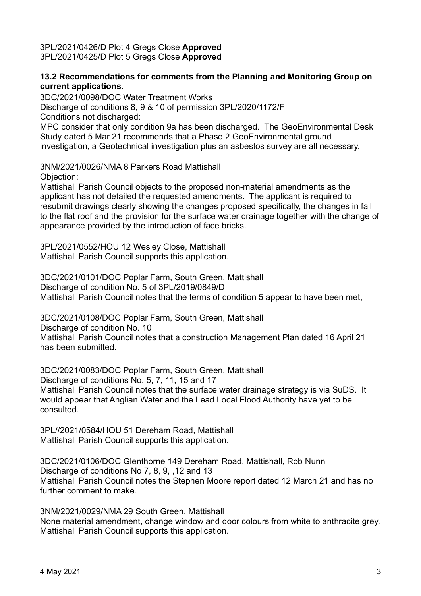3PL/2021/0426/D Plot 4 Gregs Close **Approved** 3PL/2021/0425/D Plot 5 Gregs Close **Approved**

#### **13.2 Recommendations for comments from the Planning and Monitoring Group on current applications.**

3DC/2021/0098/DOC Water Treatment Works

Discharge of conditions 8, 9 & 10 of permission 3PL/2020/1172/F Conditions not discharged:

MPC consider that only condition 9a has been discharged. The GeoEnvironmental Desk Study dated 5 Mar 21 recommends that a Phase 2 GeoEnvironmental ground investigation, a Geotechnical investigation plus an asbestos survey are all necessary.

3NM/2021/0026/NMA 8 Parkers Road Mattishall

Objection:

Mattishall Parish Council objects to the proposed non-material amendments as the applicant has not detailed the requested amendments. The applicant is required to resubmit drawings clearly showing the changes proposed specifically, the changes in fall to the flat roof and the provision for the surface water drainage together with the change of appearance provided by the introduction of face bricks.

3PL/2021/0552/HOU 12 Wesley Close, Mattishall Mattishall Parish Council supports this application.

3DC/2021/0101/DOC Poplar Farm, South Green, Mattishall Discharge of condition No. 5 of 3PL/2019/0849/D Mattishall Parish Council notes that the terms of condition 5 appear to have been met,

3DC/2021/0108/DOC Poplar Farm, South Green, Mattishall

Discharge of condition No. 10

Mattishall Parish Council notes that a construction Management Plan dated 16 April 21 has been submitted.

3DC/2021/0083/DOC Poplar Farm, South Green, Mattishall Discharge of conditions No. 5, 7, 11, 15 and 17 Mattishall Parish Council notes that the surface water drainage strategy is via SuDS. It would appear that Anglian Water and the Lead Local Flood Authority have yet to be consulted.

3PL//2021/0584/HOU 51 Dereham Road, Mattishall Mattishall Parish Council supports this application.

3DC/2021/0106/DOC Glenthorne 149 Dereham Road, Mattishall, Rob Nunn Discharge of conditions No 7, 8, 9, ,12 and 13 Mattishall Parish Council notes the Stephen Moore report dated 12 March 21 and has no further comment to make.

3NM/2021/0029/NMA 29 South Green, Mattishall None material amendment, change window and door colours from white to anthracite grey. Mattishall Parish Council supports this application.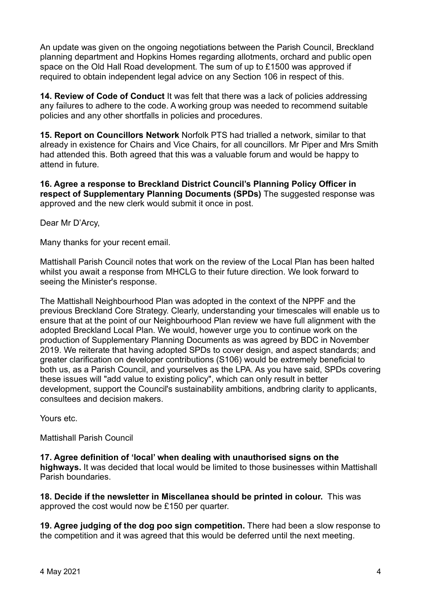An update was given on the ongoing negotiations between the Parish Council, Breckland planning department and Hopkins Homes regarding allotments, orchard and public open space on the Old Hall Road development. The sum of up to £1500 was approved if required to obtain independent legal advice on any Section 106 in respect of this.

**14. Review of Code of Conduct** It was felt that there was a lack of policies addressing any failures to adhere to the code. A working group was needed to recommend suitable policies and any other shortfalls in policies and procedures.

**15. Report on Councillors Network** Norfolk PTS had trialled a network, similar to that already in existence for Chairs and Vice Chairs, for all councillors. Mr Piper and Mrs Smith had attended this. Both agreed that this was a valuable forum and would be happy to attend in future.

**16. Agree a response to Breckland District Council's Planning Policy Officer in respect of Supplementary Planning Documents (SPDs)** The suggested response was approved and the new clerk would submit it once in post.

Dear Mr D'Arcy,

Many thanks for your recent email.

Mattishall Parish Council notes that work on the review of the Local Plan has been halted whilst you await a response from MHCLG to their future direction. We look forward to seeing the Minister's response.

The Mattishall Neighbourhood Plan was adopted in the context of the NPPF and the previous Breckland Core Strategy. Clearly, understanding your timescales will enable us to ensure that at the point of our Neighbourhood Plan review we have full alignment with the adopted Breckland Local Plan. We would, however urge you to continue work on the production of Supplementary Planning Documents as was agreed by BDC in November 2019. We reiterate that having adopted SPDs to cover design, and aspect standards; and greater clarification on developer contributions (S106) would be extremely beneficial to both us, as a Parish Council, and yourselves as the LPA. As you have said, SPDs covering these issues will "add value to existing policy", which can only result in better development, support the Council's sustainability ambitions, andbring clarity to applicants, consultees and decision makers.

Yours etc.

Mattishall Parish Council

**17. Agree definition of 'local' when dealing with unauthorised signs on the highways.** It was decided that local would be limited to those businesses within Mattishall Parish boundaries.

**18. Decide if the newsletter in Miscellanea should be printed in colour.** This was approved the cost would now be £150 per quarter.

**19. Agree judging of the dog poo sign competition.** There had been a slow response to the competition and it was agreed that this would be deferred until the next meeting.